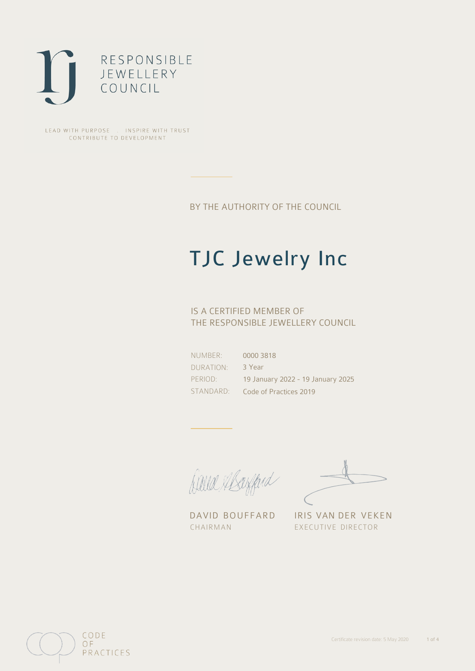

LEAD WITH PURPOSE . INSPIRE WITH TRUST CONTRIBUTE TO DEVELOPMENT

BY THE AUTHORITY OF THE COUNCIL

# TJC Jewelry Inc

## IS A CERTIFIED MEMBER OF THE RESPONSIBLE JEWELLERY COUNCIL

NUMBER: DURATION: PERIOD: STANDARD:

0000 3818 3 Year 19 January 2022 - 19 January 2025 Code of Practices 2019

Balla Abayfard

DAVID BOUFFARD IRIS VAN DER VEKEN CHAIRMAN EXECUTIVE DIRECTOR

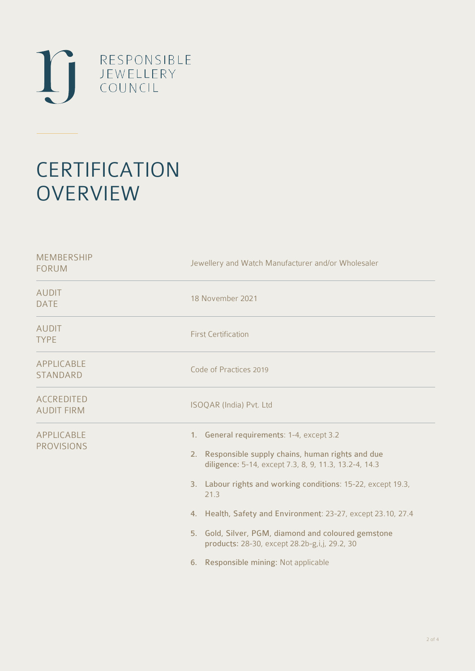

# **CERTIFICATION OVERVIEW**

| Jewellery and Watch Manufacturer and/or Wholesaler                                                                                                                                                                                                                                                                                                                                                                                                  |
|-----------------------------------------------------------------------------------------------------------------------------------------------------------------------------------------------------------------------------------------------------------------------------------------------------------------------------------------------------------------------------------------------------------------------------------------------------|
| 18 November 2021                                                                                                                                                                                                                                                                                                                                                                                                                                    |
| <b>First Certification</b>                                                                                                                                                                                                                                                                                                                                                                                                                          |
| Code of Practices 2019                                                                                                                                                                                                                                                                                                                                                                                                                              |
| ISOQAR (India) Pvt. Ltd                                                                                                                                                                                                                                                                                                                                                                                                                             |
| 1. General requirements: 1-4, except 3.2<br>2. Responsible supply chains, human rights and due<br>diligence: 5-14, except 7.3, 8, 9, 11.3, 13.2-4, 14.3<br>3. Labour rights and working conditions: 15-22, except 19.3,<br>21.3<br>4. Health, Safety and Environment: 23-27, except 23.10, 27.4<br>5. Gold, Silver, PGM, diamond and coloured gemstone<br>products: 28-30, except 28.2b-g,i,j, 29.2, 30<br>Responsible mining: Not applicable<br>6. |
|                                                                                                                                                                                                                                                                                                                                                                                                                                                     |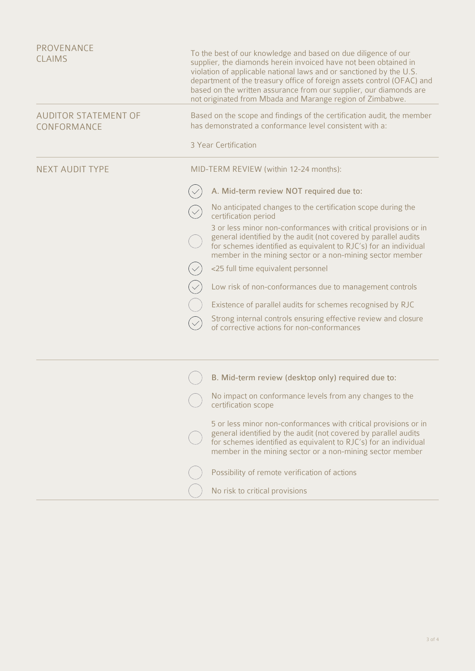| PROVENANCE<br><b>CLAIMS</b>                | To the best of our knowledge and based on due diligence of our<br>supplier, the diamonds herein invoiced have not been obtained in<br>violation of applicable national laws and or sanctioned by the U.S.<br>department of the treasury office of foreign assets control (OFAC) and<br>based on the written assurance from our supplier, our diamonds are<br>not originated from Mbada and Marange region of Zimbabwe. |  |
|--------------------------------------------|------------------------------------------------------------------------------------------------------------------------------------------------------------------------------------------------------------------------------------------------------------------------------------------------------------------------------------------------------------------------------------------------------------------------|--|
| <b>AUDITOR STATEMENT OF</b><br>CONFORMANCE | Based on the scope and findings of the certification audit, the member<br>has demonstrated a conformance level consistent with a:                                                                                                                                                                                                                                                                                      |  |
|                                            | 3 Year Certification                                                                                                                                                                                                                                                                                                                                                                                                   |  |
| <b>NEXT AUDIT TYPE</b>                     | MID-TERM REVIEW (within 12-24 months):                                                                                                                                                                                                                                                                                                                                                                                 |  |
|                                            | A. Mid-term review NOT required due to:                                                                                                                                                                                                                                                                                                                                                                                |  |
|                                            | No anticipated changes to the certification scope during the<br>certification period                                                                                                                                                                                                                                                                                                                                   |  |
|                                            | 3 or less minor non-conformances with critical provisions or in<br>general identified by the audit (not covered by parallel audits<br>for schemes identified as equivalent to RJC's) for an individual<br>member in the mining sector or a non-mining sector member                                                                                                                                                    |  |
|                                            | <25 full time equivalent personnel                                                                                                                                                                                                                                                                                                                                                                                     |  |
|                                            | Low risk of non-conformances due to management controls                                                                                                                                                                                                                                                                                                                                                                |  |
|                                            | Existence of parallel audits for schemes recognised by RJC                                                                                                                                                                                                                                                                                                                                                             |  |
|                                            | Strong internal controls ensuring effective review and closure<br>of corrective actions for non-conformances                                                                                                                                                                                                                                                                                                           |  |
|                                            | B. Mid-term review (desktop only) required due to:                                                                                                                                                                                                                                                                                                                                                                     |  |
|                                            | No impact on conformance levels from any changes to the<br>certification scope                                                                                                                                                                                                                                                                                                                                         |  |
|                                            | 5 or less minor non-conformances with critical provisions or in<br>general identified by the audit (not covered by parallel audits<br>for schemes identified as equivalent to RJC's) for an individual<br>member in the mining sector or a non-mining sector member                                                                                                                                                    |  |
|                                            | Possibility of remote verification of actions                                                                                                                                                                                                                                                                                                                                                                          |  |
|                                            | No risk to critical provisions                                                                                                                                                                                                                                                                                                                                                                                         |  |